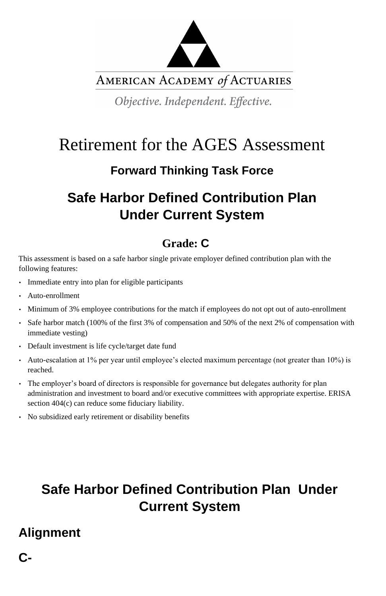

AMERICAN ACADEMY of ACTUARIES

Objective. Independent. Effective.

# Retirement for the AGES Assessment

### **Forward Thinking Task Force**

## **Safe Harbor Defined Contribution Plan Under Current System**

### **Grade: C**

This assessment is based on a safe harbor single private employer defined contribution plan with the following features:

- Immediate entry into plan for eligible participants
- Auto-enrollment
- Minimum of 3% employee contributions for the match if employees do not opt out of auto-enrollment
- Safe harbor match (100% of the first 3% of compensation and 50% of the next 2% of compensation with immediate vesting)
- Default investment is life cycle/target date fund
- Auto-escalation at 1% per year until employee's elected maximum percentage (not greater than 10%) is reached.
- The employer's board of directors is responsible for governance but delegates authority for plan administration and investment to board and/or executive committees with appropriate expertise. ERISA section 404(c) can reduce some fiduciary liability.
- No subsidized early retirement or disability benefits

## **Safe Harbor Defined Contribution Plan Under Current System**

#### **Alignment**

**C-**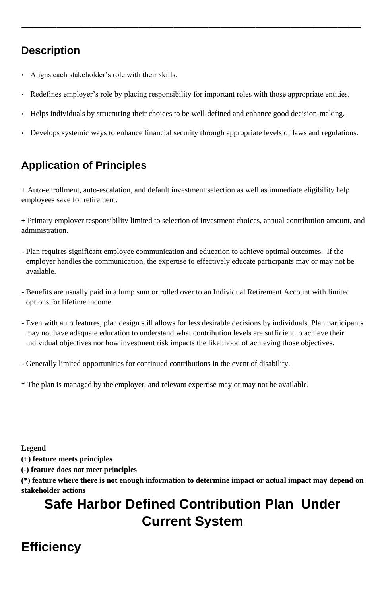**—————————————————————————————**

#### **Description**

- Aligns each stakeholder's role with their skills.
- Redefines employer's role by placing responsibility for important roles with those appropriate entities.

- Helps individuals by structuring their choices to be well-defined and enhance good decision-making.
- Develops systemic ways to enhance financial security through appropriate levels of laws and regulations.

#### **Application of Principles**

+ Auto-enrollment, auto-escalation, and default investment selection as well as immediate eligibility help employees save for retirement.

+ Primary employer responsibility limited to selection of investment choices, annual contribution amount, and administration.

- Plan requires significant employee communication and education to achieve optimal outcomes. If the employer handles the communication, the expertise to effectively educate participants may or may not be available.
- Benefits are usually paid in a lump sum or rolled over to an Individual Retirement Account with limited options for lifetime income.
- Even with auto features, plan design still allows for less desirable decisions by individuals. Plan participants may not have adequate education to understand what contribution levels are sufficient to achieve their individual objectives nor how investment risk impacts the likelihood of achieving those objectives.
- Generally limited opportunities for continued contributions in the event of disability.
- \* The plan is managed by the employer, and relevant expertise may or may not be available.

**Legend** 

**(+) feature meets principles** 

**(-) feature does not meet principles** 

**(\*) feature where there is not enough information to determine impact or actual impact may depend on stakeholder actions** 

## **Safe Harbor Defined Contribution Plan Under Current System**

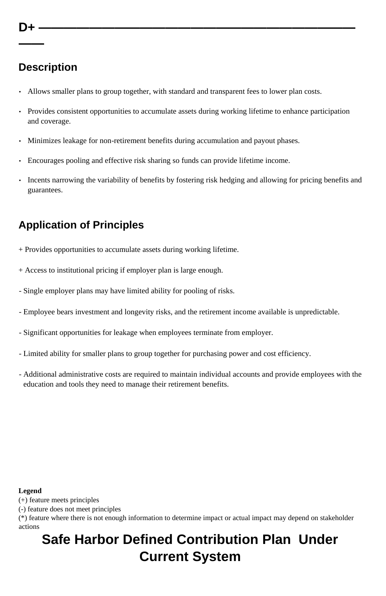**——**

#### **Description**

- Allows smaller plans to group together, with standard and transparent fees to lower plan costs.
- Provides consistent opportunities to accumulate assets during working lifetime to enhance participation and coverage.
- Minimizes leakage for non-retirement benefits during accumulation and payout phases.
- Encourages pooling and effective risk sharing so funds can provide lifetime income.
- Incents narrowing the variability of benefits by fostering risk hedging and allowing for pricing benefits and guarantees.

#### **Application of Principles**

- + Provides opportunities to accumulate assets during working lifetime.
- + Access to institutional pricing if employer plan is large enough.
- Single employer plans may have limited ability for pooling of risks.
- Employee bears investment and longevity risks, and the retirement income available is unpredictable.
- Significant opportunities for leakage when employees terminate from employer.
- Limited ability for smaller plans to group together for purchasing power and cost efficiency.
- Additional administrative costs are required to maintain individual accounts and provide employees with the education and tools they need to manage their retirement benefits.

#### **Legend**

(+) feature meets principles

(-) feature does not meet principles

(\*) feature where there is not enough information to determine impact or actual impact may depend on stakeholder actions

## **Safe Harbor Defined Contribution Plan Under Current System**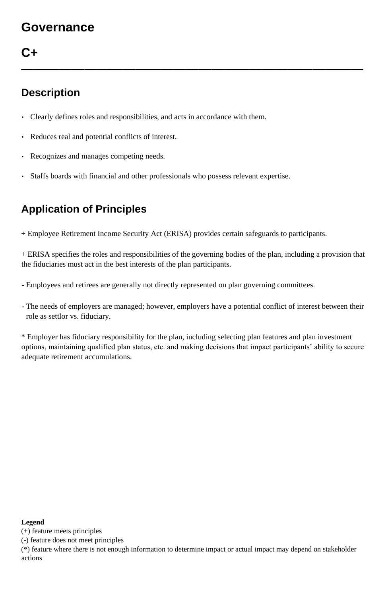### **Governance**

#### **C+**

**———————————————————————————**

#### **Description**

- Clearly defines roles and responsibilities, and acts in accordance with them.
- Reduces real and potential conflicts of interest.
- Recognizes and manages competing needs.
- Staffs boards with financial and other professionals who possess relevant expertise.

#### **Application of Principles**

+ Employee Retirement Income Security Act (ERISA) provides certain safeguards to participants.

+ ERISA specifies the roles and responsibilities of the governing bodies of the plan, including a provision that the fiduciaries must act in the best interests of the plan participants.

- Employees and retirees are generally not directly represented on plan governing committees.

- The needs of employers are managed; however, employers have a potential conflict of interest between their role as settlor vs. fiduciary.

\* Employer has fiduciary responsibility for the plan, including selecting plan features and plan investment options, maintaining qualified plan status, etc. and making decisions that impact participants' ability to secure adequate retirement accumulations.

#### **Legend**

(+) feature meets principles

(-) feature does not meet principles

(\*) feature where there is not enough information to determine impact or actual impact may depend on stakeholder actions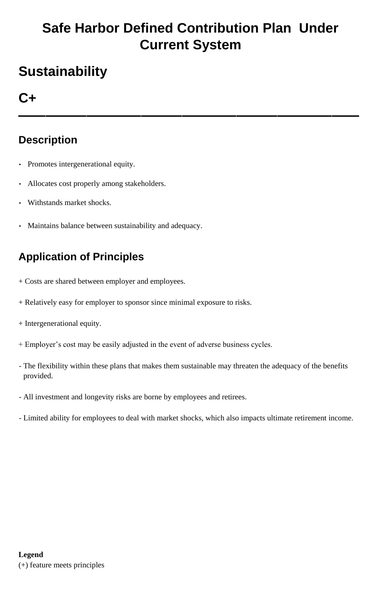## **Safe Harbor Defined Contribution Plan Under Current System**

## **Sustainability**

### **C+**

**—————————————————————————**

#### **Description**

- Promotes intergenerational equity.
- Allocates cost properly among stakeholders.
- Withstands market shocks.
- Maintains balance between sustainability and adequacy.

#### **Application of Principles**

- + Costs are shared between employer and employees.
- + Relatively easy for employer to sponsor since minimal exposure to risks.
- + Intergenerational equity.
- + Employer's cost may be easily adjusted in the event of adverse business cycles.
- The flexibility within these plans that makes them sustainable may threaten the adequacy of the benefits provided.
- All investment and longevity risks are borne by employees and retirees.
- Limited ability for employees to deal with market shocks, which also impacts ultimate retirement income.

#### **Legend**

(+) feature meets principles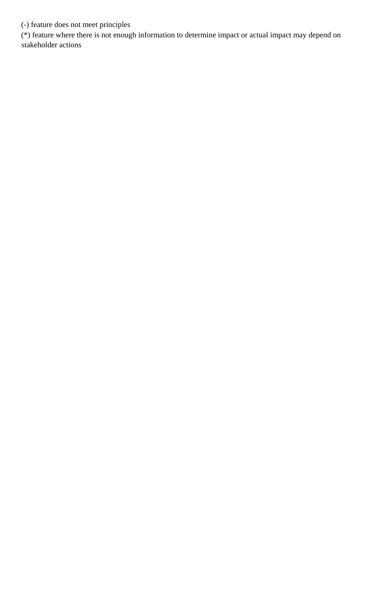(-) feature does not meet principles

(\*) feature where there is not enough information to determine impact or actual impact may depend on stakeholder actions